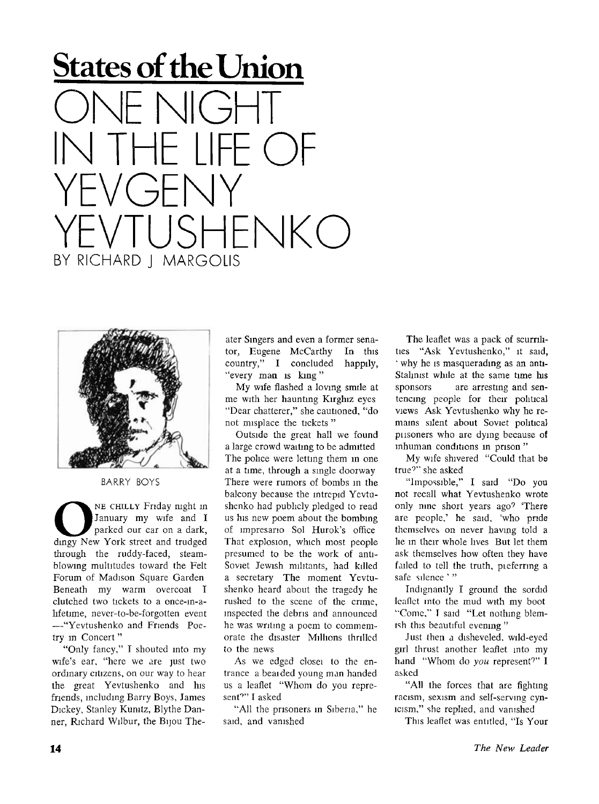## **States of the Union**   $N$ ll $($  $\frac{1}{7}$  $I$ I $H$  ( YEVGENY  $HENKO$ BY RICHARD | MARGOLIS



BARRY BOYS

NE CHILLY Friday night in<br>January my wife and I<br>dingy New York street and trudged NE CHILLY Friday night in January my wife and I parked our car on a dark, through the ruddy-faced, steamblowmg multitudes toward the Felt Forum of Madison Square Garden Beneath my warm overcoat I clutched two tickets to a once-in-ahfetime, nevcr-to-be-forgotten event —"Yevtushenko and Friends Poetry in Concert"

"Only fancy," I shouted into my wife's ear, "here we are just two ordinary citizens, on our way to hear the great Yevtushenko and his friends, including Barry Boys, James Dickey, Stanley Kunitz, BIythe Danner, Richard Wilbur, the Bijou The-

ater Singers and even a former senator, Eugene McCarthy In this country," I concluded happily, "every man is king"

My wife flashed a loving smile at me with her haunting Kirghiz eyes "Dear chatterer," she cautioned, "do not misplace the tickets "

Outside the great hall we found a large crowd waiting to be admitted The police were letting them in one at a time, through a single doorway There were rumors of bombs in the balcony because the intrepid Yevtushenko had publicly pledged to read us his new poem about the bombing of impresario Sol Hurok's office That explosion, which most people presumed to be the work of anti-Soviet Jewish militants, had killed a secretary The moment Yevtushenko heard about the tragedy he rushed to the scene of the crime, inspected the debris and announced he was writing a poem to commemorate the disaster Millions thrilled to the news

As we edged closei to the entrance a beaided young man handed us a leaflet "Whom do you represent<sup>o</sup>" I asked

"All the prisoners in Siberia," he said, and vanished

The leaflet was a pack of scurrilities "Ask Yevtushenko," it said, ' why he is masquerading as an anti-Stahnist while at the same time his sponsors are arresting and sentencing people for their political views Ask Yevtushenko why he remains silent about Soviet political pusoners who are dying because of inhuman conditions in prison "

My wife shivered "Could that be true''" she asked

"Impossible," I said "Do you not recall what Yevtushenko wrote only nine short years ago'' 'There are people,' he said, 'who pride themselves on never having told a lie in their whole lives But let them ask themselves how often they have failed to tell the truth, pieferring a safe silence '"

Indignantly I ground the sordid leaflet into the mud with my boot "Come," I said "Let nothing blemish this beautiful evening "

Just then a disheveled, wild-eyed girl thrust another leaflet into my hand "Whom do you represent?" I asked

"All the forces that are fighting racism, sexism and self-serving cynicism," she replied, and vanished

This leaflet was entitled, "Is Your